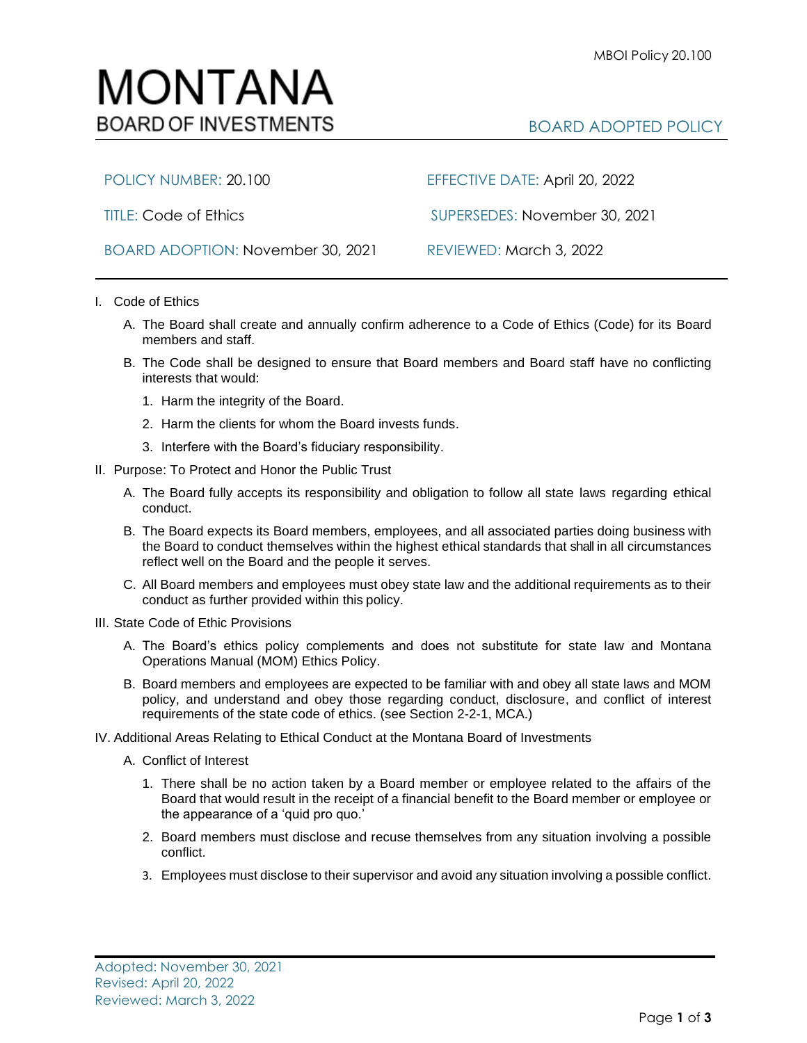

BOARD ADOPTION: November 30, 2021 REVIEWED: March 3, 2022

POLICY NUMBER: 20.100 EFFECTIVE DATE: April 20, 2022

TITLE: Code of Ethics SUPERSEDES: November 30, 2021

- I. Code of Ethics
	- A. The Board shall create and annually confirm adherence to a Code of Ethics (Code) for its Board members and staff.
	- B. The Code shall be designed to ensure that Board members and Board staff have no conflicting interests that would:
		- 1. Harm the integrity of the Board.
		- 2. Harm the clients for whom the Board invests funds.
		- 3. Interfere with the Board's fiduciary responsibility.
- II. Purpose: To Protect and Honor the Public Trust
	- A. The Board fully accepts its responsibility and obligation to follow all state laws regarding ethical conduct.
	- B. The Board expects its Board members, employees, and all associated parties doing business with the Board to conduct themselves within the highest ethical standards that shall in all circumstances reflect well on the Board and the people it serves.
	- C. All Board members and employees must obey state law and the additional requirements as to their conduct as further provided within this policy.
- III. State Code of Ethic Provisions
	- A. The Board's ethics policy complements and does not substitute for state law and Montana Operations Manual (MOM) Ethics Policy.
	- B. Board members and employees are expected to be familiar with and obey all state laws and MOM policy, and understand and obey those regarding conduct, disclosure, and conflict of interest requirements of the state code of ethics. (see Section 2-2-1, MCA.)
- IV. Additional Areas Relating to Ethical Conduct at the Montana Board of Investments
	- A. Conflict of Interest
		- 1. There shall be no action taken by a Board member or employee related to the affairs of the Board that would result in the receipt of a financial benefit to the Board member or employee or the appearance of a 'quid pro quo.'
		- 2. Board members must disclose and recuse themselves from any situation involving a possible conflict.
		- 3. Employees must disclose to their supervisor and avoid any situation involving a possible conflict.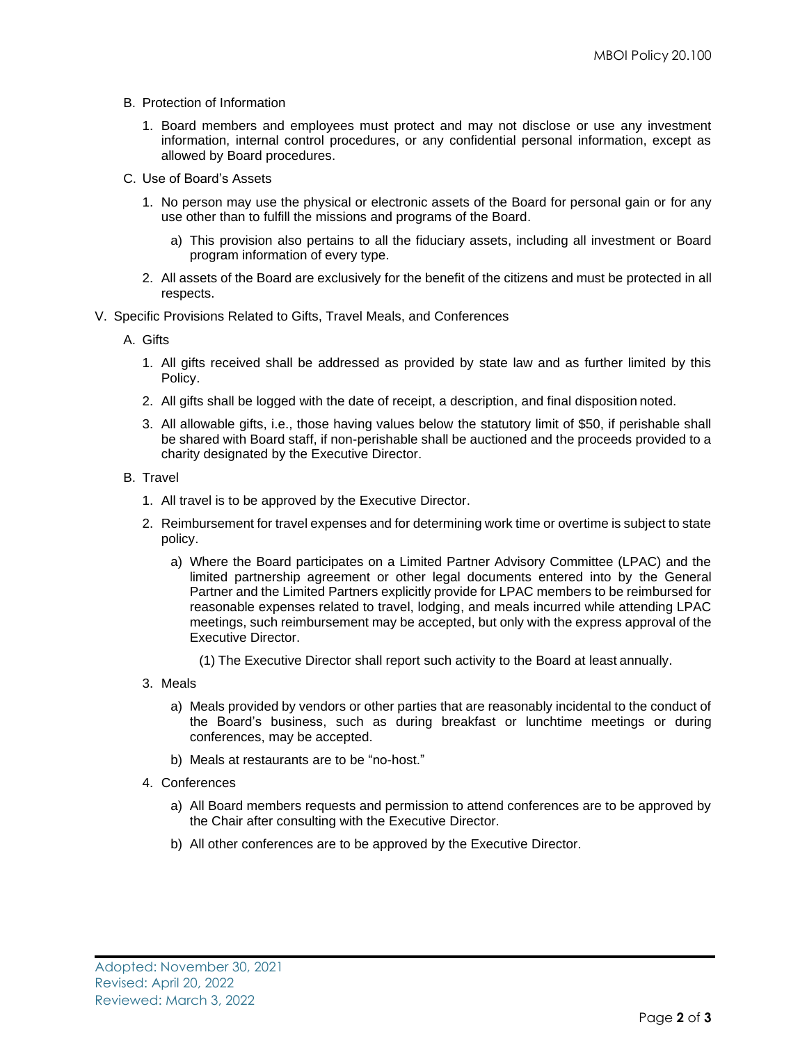- B. Protection of Information
	- 1. Board members and employees must protect and may not disclose or use any investment information, internal control procedures, or any confidential personal information, except as allowed by Board procedures.
- C. Use of Board's Assets
	- 1. No person may use the physical or electronic assets of the Board for personal gain or for any use other than to fulfill the missions and programs of the Board.
		- a) This provision also pertains to all the fiduciary assets, including all investment or Board program information of every type.
	- 2. All assets of the Board are exclusively for the benefit of the citizens and must be protected in all respects.
- V. Specific Provisions Related to Gifts, Travel Meals, and Conferences

A. Gifts

- 1. All gifts received shall be addressed as provided by state law and as further limited by this Policy.
- 2. All gifts shall be logged with the date of receipt, a description, and final disposition noted.
- 3. All allowable gifts, i.e., those having values below the statutory limit of \$50, if perishable shall be shared with Board staff, if non-perishable shall be auctioned and the proceeds provided to a charity designated by the Executive Director.
- B. Travel
	- 1. All travel is to be approved by the Executive Director.
	- 2. Reimbursement for travel expenses and for determining work time or overtime is subject to state policy.
		- a) Where the Board participates on a Limited Partner Advisory Committee (LPAC) and the limited partnership agreement or other legal documents entered into by the General Partner and the Limited Partners explicitly provide for LPAC members to be reimbursed for reasonable expenses related to travel, lodging, and meals incurred while attending LPAC meetings, such reimbursement may be accepted, but only with the express approval of the Executive Director.
			- (1) The Executive Director shall report such activity to the Board at least annually.
	- 3. Meals
		- a) Meals provided by vendors or other parties that are reasonably incidental to the conduct of the Board's business, such as during breakfast or lunchtime meetings or during conferences, may be accepted.
		- b) Meals at restaurants are to be "no-host."
	- 4. Conferences
		- a) All Board members requests and permission to attend conferences are to be approved by the Chair after consulting with the Executive Director.
		- b) All other conferences are to be approved by the Executive Director.